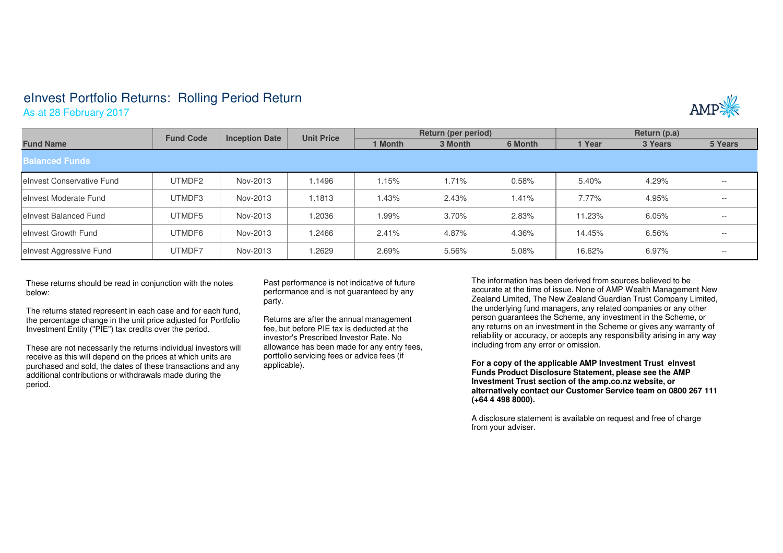## eInvest Portfolio Returns: Rolling Period Return

As at 28 February 2017



|                            | <b>Fund Code</b> | <b>Inception Date</b> | <b>Unit Price</b> | Return (per period) |         |         | Return (p.a) |         |         |  |  |  |  |
|----------------------------|------------------|-----------------------|-------------------|---------------------|---------|---------|--------------|---------|---------|--|--|--|--|
| <b>Fund Name</b>           |                  |                       |                   | 1 Month             | 3 Month | 6 Month | l Year       | 3 Years | 5 Years |  |  |  |  |
| <b>Balanced Funds</b>      |                  |                       |                   |                     |         |         |              |         |         |  |  |  |  |
| leInvest Conservative Fund | UTMDF2           | Nov-2013              | 1.1496            | 1.15%               | 1.71%   | 0.58%   | 5.40%        | 4.29%   | $- -$   |  |  |  |  |
| leInvest Moderate Fund     | UTMDF3           | Nov-2013              | 1.1813            | 1.43%               | 2.43%   | 1.41%   | 7.77%        | 4.95%   | $- -$   |  |  |  |  |
| leInvest Balanced Fund     | UTMDF5           | Nov-2013              | 1.2036            | $1.99\%$            | 3.70%   | 2.83%   | 11.23%       | 6.05%   | $- -$   |  |  |  |  |
| leInvest Growth Fund       | UTMDF6           | Nov-2013              | 1.2466            | 2.41%               | 4.87%   | 4.36%   | 14.45%       | 6.56%   | $- -$   |  |  |  |  |
| elnvest Aggressive Fund    | UTMDF7           | Nov-2013              | 1.2629            | 2.69%               | 5.56%   | 5.08%   | 16.62%       | 6.97%   | $- -$   |  |  |  |  |

These returns should be read in conjunction with the notes below:

The returns stated represent in each case and for each fund, the percentage change in the unit price adjusted for Portfolio Investment Entity ("PIE") tax credits over the period.

These are not necessarily the returns individual investors will receive as this will depend on the prices at which units are purchased and sold, the dates of these transactions and anyadditional contributions or withdrawals made during the period.

Past performance is not indicative of future performance and is not guaranteed by any party.

Returns are after the annual management fee, but before PIE tax is deducted at the investor's Prescribed Investor Rate. No allowance has been made for any entry fees, portfolio servicing fees or advice fees (if applicable).

The information has been derived from sources believed to be accurate at the time of issue. None of AMP Wealth Management New Zealand Limited, The New Zealand Guardian Trust Company Limited, the underlying fund managers, any related companies or any other person guarantees the Scheme, any investment in the Scheme, or any returns on an investment in the Scheme or gives any warranty of reliability or accuracy, or accepts any responsibility arising in any way including from any error or omission.

**For a copy of the applicable AMP Investment Trust eInvest Funds Product Disclosure Statement, please see the AMP Investment Trust section of the amp.co.nz website, or alternatively contact our Customer Service team on 0800 267 111 (+64 4 498 8000).**

A disclosure statement is available on request and free of charge from your adviser.